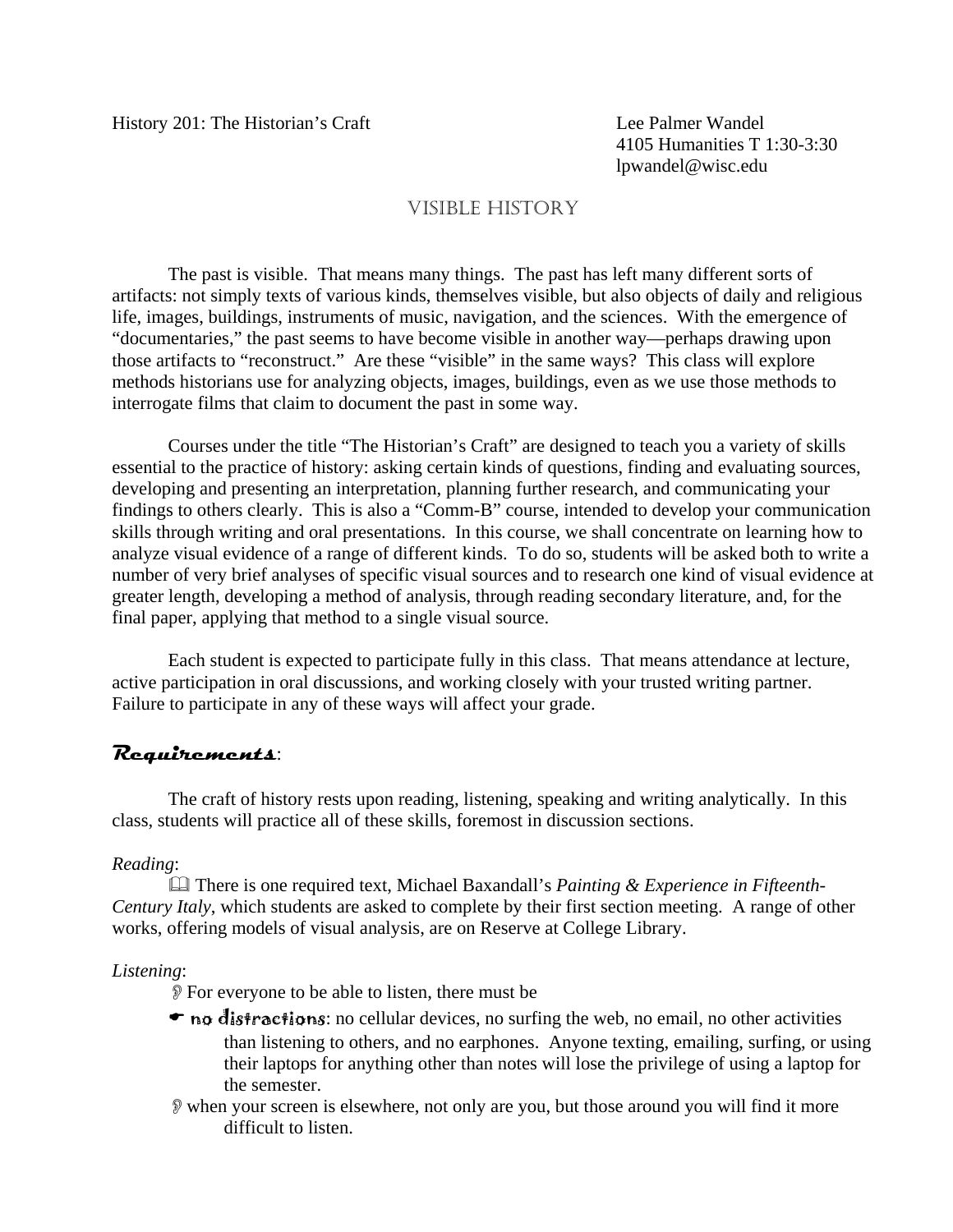4105 Humanities T 1:30-3:30 lpwandel@wisc.edu

## VISIBLE HISTORY

 The past is visible. That means many things. The past has left many different sorts of artifacts: not simply texts of various kinds, themselves visible, but also objects of daily and religious life, images, buildings, instruments of music, navigation, and the sciences. With the emergence of "documentaries," the past seems to have become visible in another way—perhaps drawing upon those artifacts to "reconstruct." Are these "visible" in the same ways? This class will explore methods historians use for analyzing objects, images, buildings, even as we use those methods to interrogate films that claim to document the past in some way.

 Courses under the title "The Historian's Craft" are designed to teach you a variety of skills essential to the practice of history: asking certain kinds of questions, finding and evaluating sources, developing and presenting an interpretation, planning further research, and communicating your findings to others clearly. This is also a "Comm-B" course, intended to develop your communication skills through writing and oral presentations. In this course, we shall concentrate on learning how to analyze visual evidence of a range of different kinds. To do so, students will be asked both to write a number of very brief analyses of specific visual sources and to research one kind of visual evidence at greater length, developing a method of analysis, through reading secondary literature, and, for the final paper, applying that method to a single visual source.

 Each student is expected to participate fully in this class. That means attendance at lecture, active participation in oral discussions, and working closely with your trusted writing partner. Failure to participate in any of these ways will affect your grade.

## **Requirements**:

 The craft of history rests upon reading, listening, speaking and writing analytically. In this class, students will practice all of these skills, foremost in discussion sections.

## *Reading*:

 There is one required text, Michael Baxandall's *Painting & Experience in Fifteenth-Century Italy*, which students are asked to complete by their first section meeting. A range of other works, offering models of visual analysis, are on Reserve at College Library.

## *Listening*:

For everyone to be able to listen, there must be

- $\bullet$  no distractions: no cellular devices, no surfing the web, no email, no other activities than listening to others, and no earphones. Anyone texting, emailing, surfing, or using their laptops for anything other than notes will lose the privilege of using a laptop for the semester.
- when your screen is elsewhere, not only are you, but those around you will find it more difficult to listen.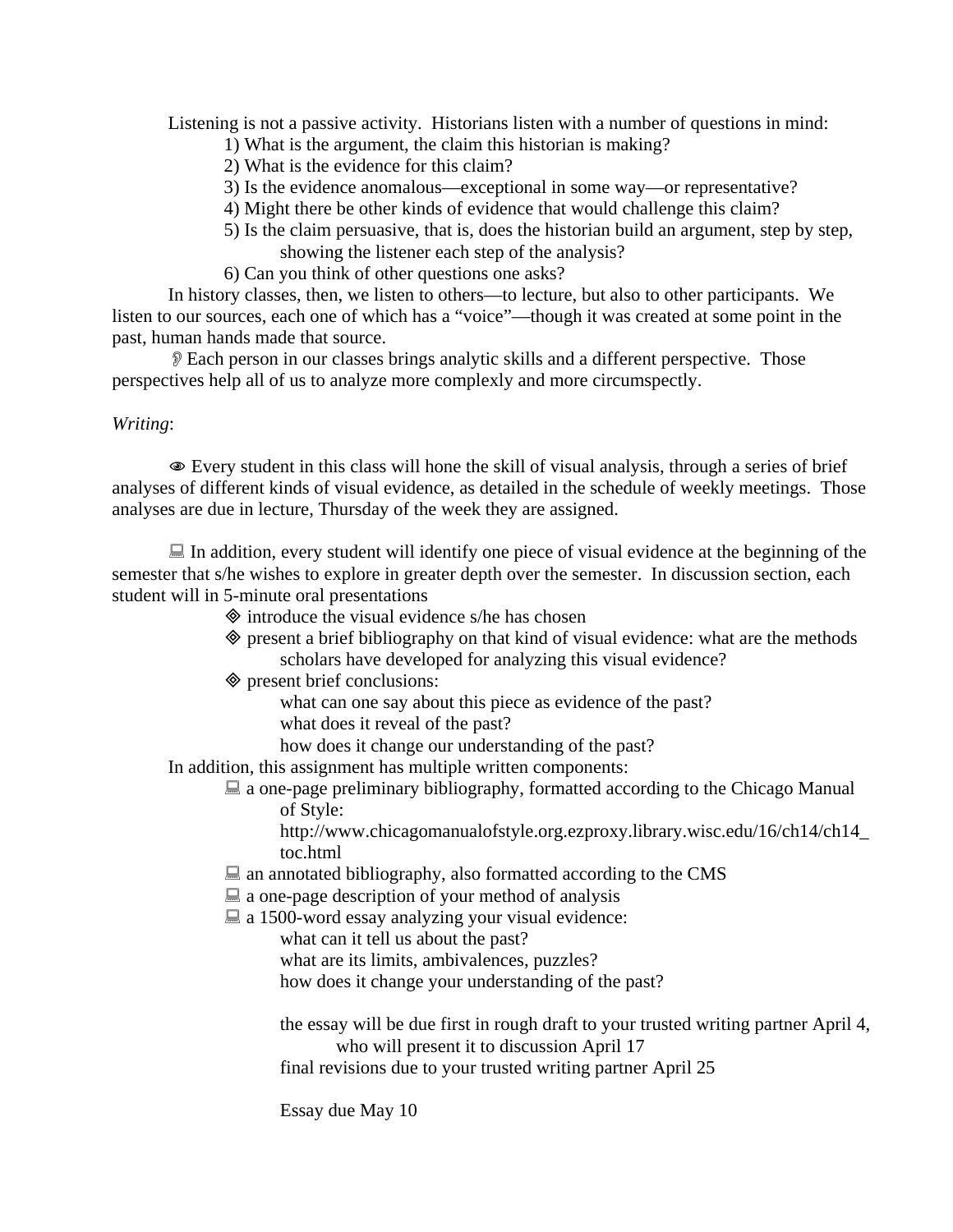Listening is not a passive activity. Historians listen with a number of questions in mind:

- 1) What is the argument, the claim this historian is making?
- 2) What is the evidence for this claim?
- 3) Is the evidence anomalous—exceptional in some way—or representative?
- 4) Might there be other kinds of evidence that would challenge this claim?
- 5) Is the claim persuasive, that is, does the historian build an argument, step by step, showing the listener each step of the analysis?
- 6) Can you think of other questions one asks?

In history classes, then, we listen to others—to lecture, but also to other participants. We listen to our sources, each one of which has a "voice"—though it was created at some point in the past, human hands made that source.

Each person in our classes brings analytic skills and a different perspective. Those perspectives help all of us to analyze more complexly and more circumspectly.

## *Writing*:

 Every student in this class will hone the skill of visual analysis, through a series of brief analyses of different kinds of visual evidence, as detailed in the schedule of weekly meetings. Those analyses are due in lecture, Thursday of the week they are assigned.

 $\Box$  In addition, every student will identify one piece of visual evidence at the beginning of the semester that s/he wishes to explore in greater depth over the semester. In discussion section, each student will in 5-minute oral presentations

- $\Diamond$  introduce the visual evidence s/he has chosen
- $\Diamond$  present a brief bibliography on that kind of visual evidence: what are the methods scholars have developed for analyzing this visual evidence?
- $\Diamond$  present brief conclusions:
	- what can one say about this piece as evidence of the past?
	- what does it reveal of the past?
	- how does it change our understanding of the past?

In addition, this assignment has multiple written components:

 $\Box$  a one-page preliminary bibliography, formatted according to the Chicago Manual of Style:

http://www.chicagomanualofstyle.org.ezproxy.library.wisc.edu/16/ch14/ch14\_ toc.html

- $\Box$  an annotated bibliography, also formatted according to the CMS
- $\Box$  a one-page description of your method of analysis
- $\Box$  a 1500-word essay analyzing your visual evidence:
	- what can it tell us about the past?
	- what are its limits, ambivalences, puzzles?

how does it change your understanding of the past?

the essay will be due first in rough draft to your trusted writing partner April 4, who will present it to discussion April 17

final revisions due to your trusted writing partner April 25

Essay due May 10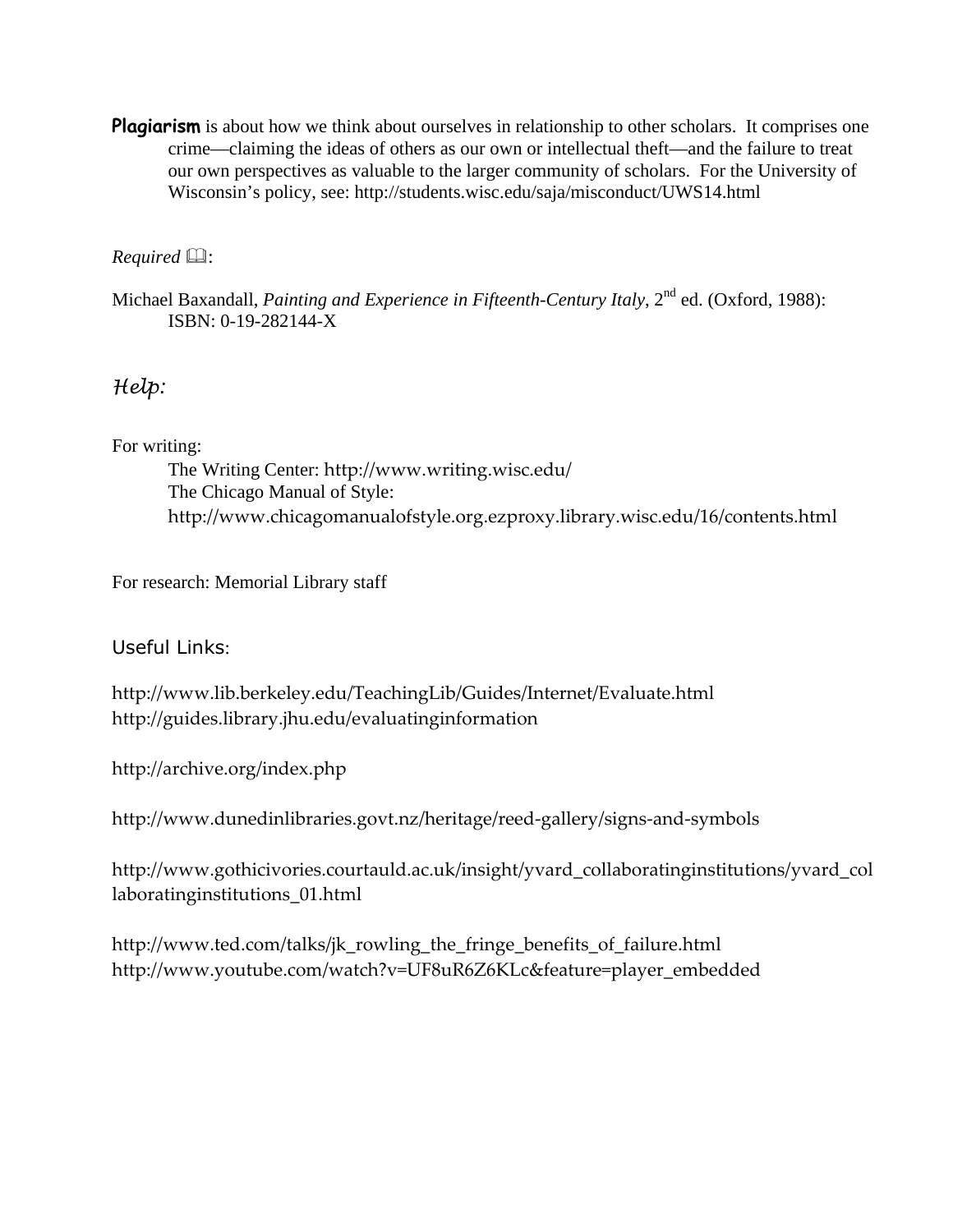**Plagiarism** is about how we think about ourselves in relationship to other scholars. It comprises one crime—claiming the ideas of others as our own or intellectual theft—and the failure to treat our own perspectives as valuable to the larger community of scholars. For the University of Wisconsin's policy, see: http://students.wisc.edu/saja/misconduct/UWS14.html

## $Required \Box$ :

Michael Baxandall, *Painting and Experience in Fifteenth-Century Italy*, 2<sup>nd</sup> ed. (Oxford, 1988): ISBN: 0-19-282144-X

# *Help:*

## For writing:

 The Writing Center: http://www.writing.wisc.edu/ The Chicago Manual of Style: http://www.chicagomanualofstyle.org.ezproxy.library.wisc.edu/16/contents.html

For research: Memorial Library staff

## Useful Links:

http://www.lib.berkeley.edu/TeachingLib/Guides/Internet/Evaluate.html http://guides.library.jhu.edu/evaluatinginformation

http://archive.org/index.php

http://www.dunedinlibraries.govt.nz/heritage/reed‐gallery/signs‐and‐symbols

http://www.gothicivories.courtauld.ac.uk/insight/yvard\_collaboratinginstitutions/yvard\_col laboratinginstitutions\_01.html

http://www.ted.com/talks/jk\_rowling\_the\_fringe\_benefits\_of\_failure.html http://www.youtube.com/watch?v=UF8uR6Z6KLc&feature=player\_embedded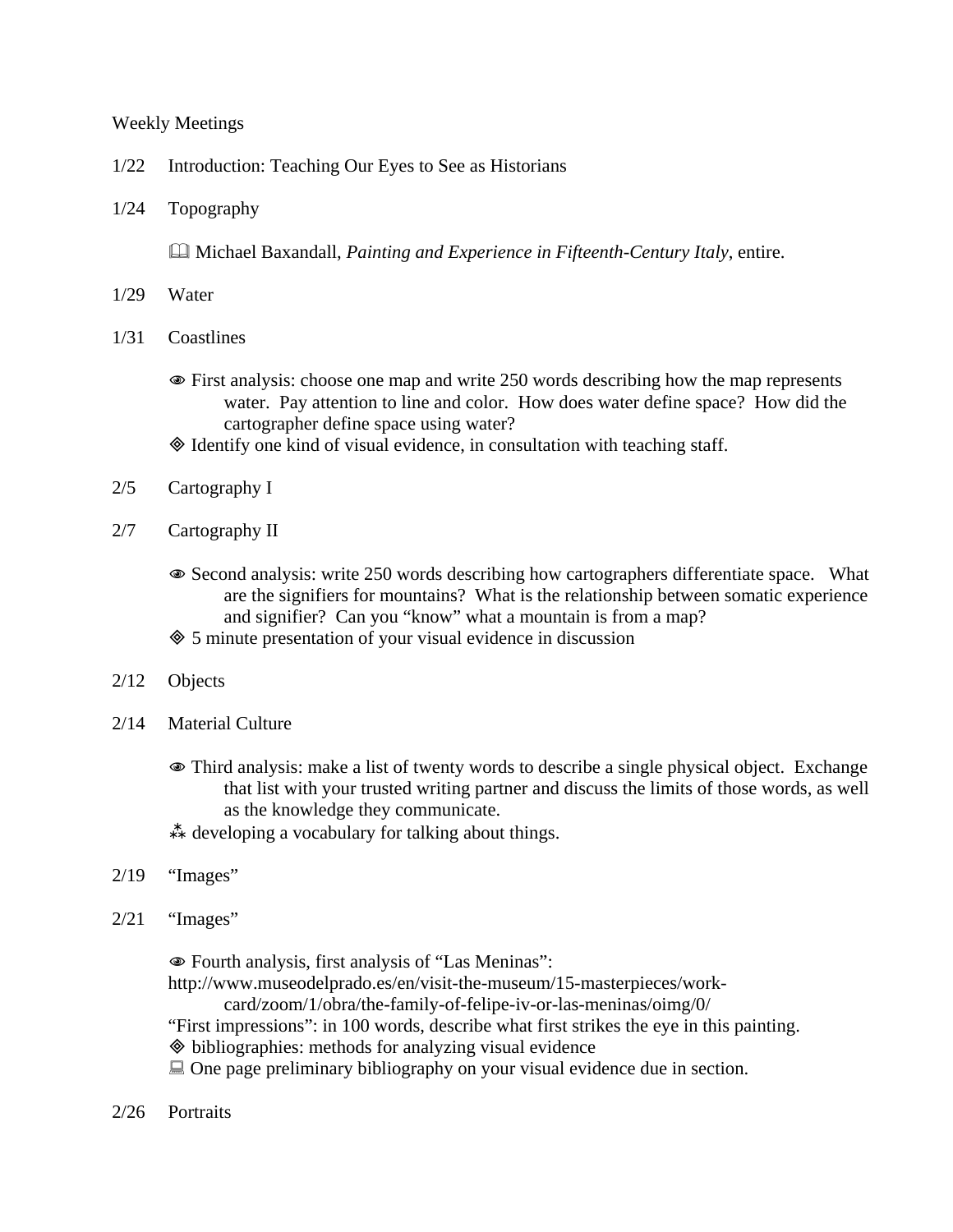### Weekly Meetings

- 1/22 Introduction: Teaching Our Eyes to See as Historians
- 1/24 Topography

Michael Baxandall, *Painting and Experience in Fifteenth-Century Italy*, entire.

- 1/29 Water
- 1/31 Coastlines
	- First analysis: choose one map and write 250 words describing how the map represents water. Pay attention to line and color. How does water define space? How did the cartographer define space using water?
	- Identify one kind of visual evidence, in consultation with teaching staff.
- 2/5 Cartography I
- 2/7 Cartography II
	- Second analysis: write 250 words describing how cartographers differentiate space. What are the signifiers for mountains? What is the relationship between somatic experience and signifier? Can you "know" what a mountain is from a map?
	- 5 minute presentation of your visual evidence in discussion
- 2/12 Objects
- 2/14 Material Culture
	- Third analysis: make a list of twenty words to describe a single physical object. Exchange that list with your trusted writing partner and discuss the limits of those words, as well as the knowledge they communicate.
	- $\stackrel{*}{\ast}$  developing a vocabulary for talking about things.
- 2/19 "Images"
- 2/21 "Images"

Fourth analysis, first analysis of "Las Meninas":

http://www.museodelprado.es/en/visit-the-museum/15-masterpieces/work-

card/zoom/1/obra/the-family-of-felipe-iv-or-las-meninas/oimg/0/

"First impressions": in 100 words, describe what first strikes the eye in this painting.

 $\Diamond$  bibliographies: methods for analyzing visual evidence

 $\Box$  One page preliminary bibliography on your visual evidence due in section.

2/26 Portraits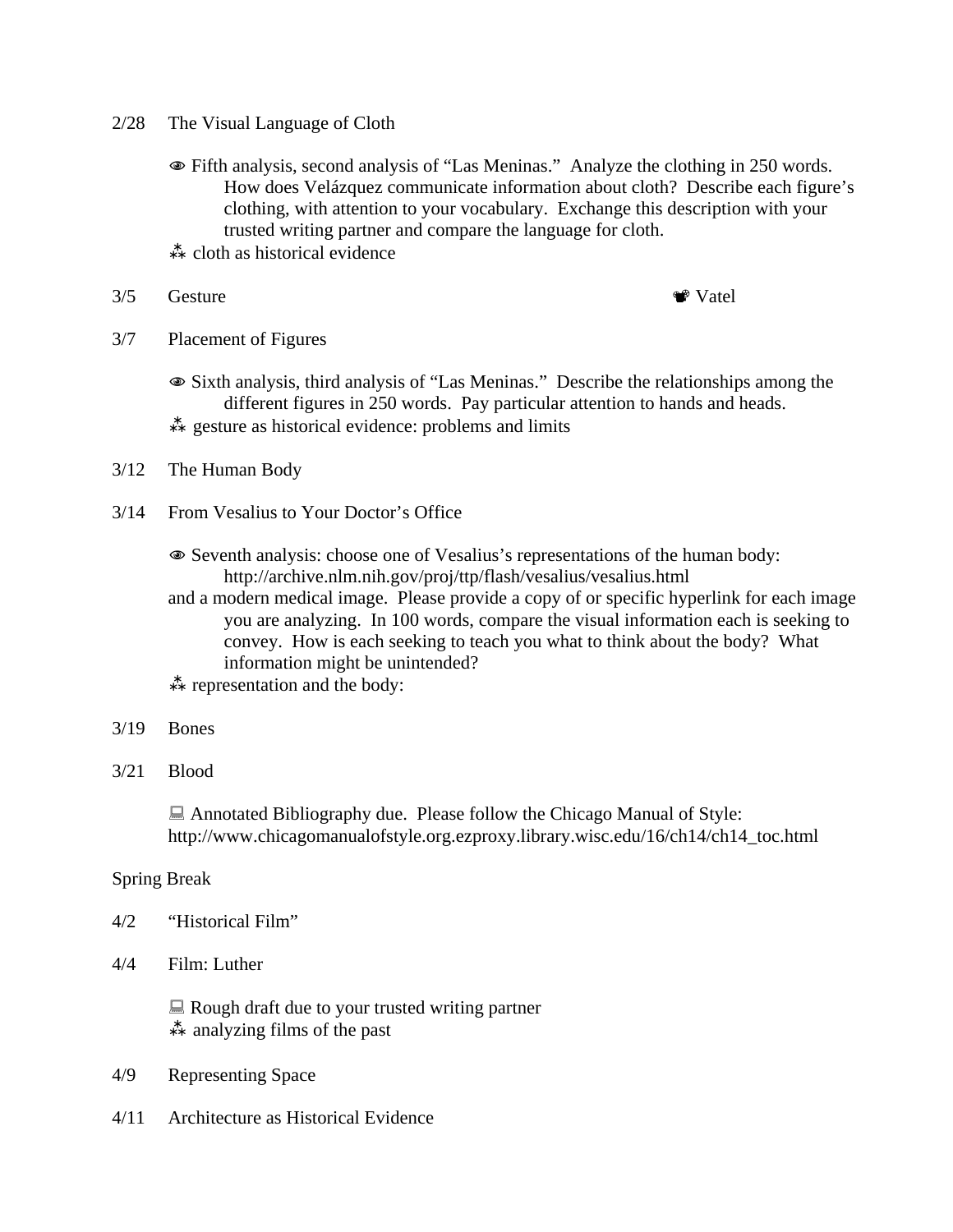- 2/28 The Visual Language of Cloth
	- Fifth analysis, second analysis of "Las Meninas." Analyze the clothing in 250 words. How does Velázquez communicate information about cloth? Describe each figure's clothing, with attention to your vocabulary. Exchange this description with your trusted writing partner and compare the language for cloth.
	- $\stackrel{*}{\ast\ast}$  cloth as historical evidence
- $3/5$  Gesture  $\bullet$  Vatel



- 3/7 Placement of Figures
	- Sixth analysis, third analysis of "Las Meninas." Describe the relationships among the different figures in 250 words. Pay particular attention to hands and heads.  $\stackrel{*}{\ast}$  gesture as historical evidence: problems and limits
- 3/12 The Human Body
- 3/14 From Vesalius to Your Doctor's Office
	- Seventh analysis: choose one of Vesalius's representations of the human body: http://archive.nlm.nih.gov/proj/ttp/flash/vesalius/vesalius.html
	- and a modern medical image. Please provide a copy of or specific hyperlink for each image you are analyzing. In 100 words, compare the visual information each is seeking to convey. How is each seeking to teach you what to think about the body? What information might be unintended?

 $*$  representation and the body:

- 3/19 Bones
- 3/21 Blood

 Annotated Bibliography due. Please follow the Chicago Manual of Style: http://www.chicagomanualofstyle.org.ezproxy.library.wisc.edu/16/ch14/ch14\_toc.html

#### Spring Break

- 4/2 "Historical Film"
- 4/4 Film: Luther

■ Rough draft due to your trusted writing partner  $\stackrel{*}{\ast}$  analyzing films of the past

- 4/9 Representing Space
- 4/11 Architecture as Historical Evidence